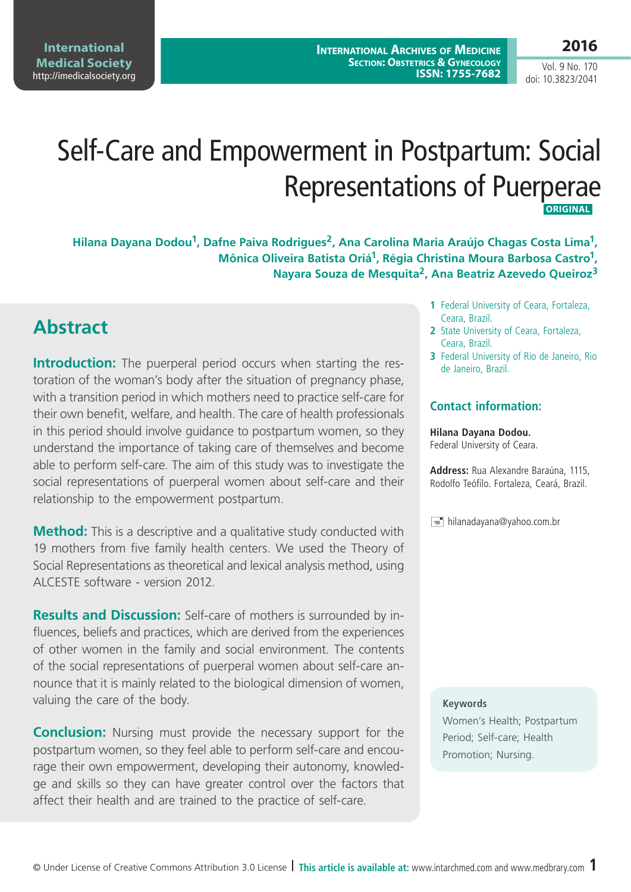**International Medical Society**  <http://imedicalsociety.org>

**International Archives of Medicine SECTION: OBSTETRICS & GYNECOLOGY ISSN: 1755-7682**

Vol. 9 No. 170 doi: 10.3823/2041

# Self-Care and Empowerment in Postpartum: Social Representations of Puerperae **ORIGINAL**

**Hilana Dayana Dodou1, Dafne Paiva Rodrigues2, Ana Carolina Maria Araújo Chagas Costa Lima1, Mônica Oliveira Batista Oriá1, Régia Christina Moura Barbosa Castro1, Nayara Souza de Mesquita2, Ana Beatriz Azevedo Queiroz3**

### **Abstract**

**Introduction:** The puerperal period occurs when starting the restoration of the woman's body after the situation of pregnancy phase, with a transition period in which mothers need to practice self-care for their own benefit, welfare, and health. The care of health professionals in this period should involve guidance to postpartum women, so they understand the importance of taking care of themselves and become able to perform self-care. The aim of this study was to investigate the social representations of puerperal women about self-care and their relationship to the empowerment postpartum.

**Method:** This is a descriptive and a qualitative study conducted with 19 mothers from five family health centers. We used the Theory of Social Representations as theoretical and lexical analysis method, using ALCESTE software - version 2012.

**Results and Discussion:** Self-care of mothers is surrounded by influences, beliefs and practices, which are derived from the experiences of other women in the family and social environment. The contents of the social representations of puerperal women about self-care announce that it is mainly related to the biological dimension of women, valuing the care of the body.

**Conclusion:** Nursing must provide the necessary support for the postpartum women, so they feel able to perform self-care and encourage their own empowerment, developing their autonomy, knowledge and skills so they can have greater control over the factors that affect their health and are trained to the practice of self-care.

- **1** Federal University of Ceara, Fortaleza, Ceara, Brazil.
- **2** State University of Ceara, Fortaleza, Ceara, Brazil.
- **3** Federal University of Rio de Janeiro, Rio de Janeiro, Brazil.

#### **Contact information:**

#### **Hilana Dayana Dodou.**

Federal University of Ceara.

**Address:** Rua Alexandre Baraúna, 1115, Rodolfo Teófilo. Fortaleza, Ceará, Brazil.

 $\equiv$  hilanadayana@yahoo.com.br

#### **Keywords**

Women's Health; Postpartum Period; Self-care; Health Promotion; Nursing.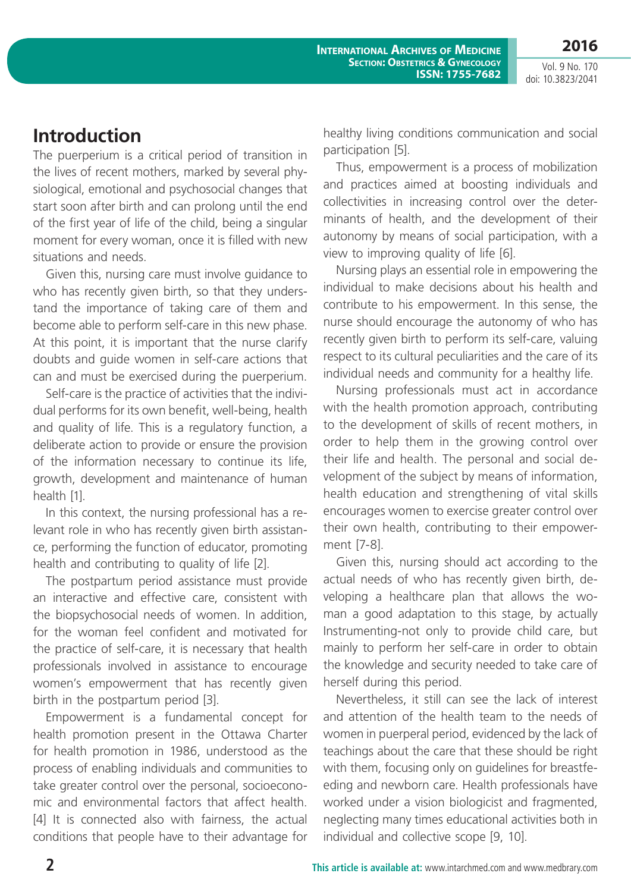Vol. 9 No. 170 doi: 10.3823/2041

## **Introduction**

The puerperium is a critical period of transition in the lives of recent mothers, marked by several physiological, emotional and psychosocial changes that start soon after birth and can prolong until the end of the first year of life of the child, being a singular moment for every woman, once it is filled with new situations and needs.

Given this, nursing care must involve guidance to who has recently given birth, so that they understand the importance of taking care of them and become able to perform self-care in this new phase. At this point, it is important that the nurse clarify doubts and guide women in self-care actions that can and must be exercised during the puerperium.

Self-care is the practice of activities that the individual performs for its own benefit, well-being, health and quality of life. This is a regulatory function, a deliberate action to provide or ensure the provision of the information necessary to continue its life, growth, development and maintenance of human health [1].

In this context, the nursing professional has a relevant role in who has recently given birth assistance, performing the function of educator, promoting health and contributing to quality of life [2].

The postpartum period assistance must provide an interactive and effective care, consistent with the biopsychosocial needs of women. In addition, for the woman feel confident and motivated for the practice of self-care, it is necessary that health professionals involved in assistance to encourage women's empowerment that has recently given birth in the postpartum period [3].

Empowerment is a fundamental concept for health promotion present in the Ottawa Charter for health promotion in 1986, understood as the process of enabling individuals and communities to take greater control over the personal, socioeconomic and environmental factors that affect health. [4] It is connected also with fairness, the actual conditions that people have to their advantage for healthy living conditions communication and social participation [5].

Thus, empowerment is a process of mobilization and practices aimed at boosting individuals and collectivities in increasing control over the determinants of health, and the development of their autonomy by means of social participation, with a view to improving quality of life [6].

Nursing plays an essential role in empowering the individual to make decisions about his health and contribute to his empowerment. In this sense, the nurse should encourage the autonomy of who has recently given birth to perform its self-care, valuing respect to its cultural peculiarities and the care of its individual needs and community for a healthy life.

Nursing professionals must act in accordance with the health promotion approach, contributing to the development of skills of recent mothers, in order to help them in the growing control over their life and health. The personal and social development of the subject by means of information, health education and strengthening of vital skills encourages women to exercise greater control over their own health, contributing to their empowerment [7-8].

Given this, nursing should act according to the actual needs of who has recently given birth, developing a healthcare plan that allows the woman a good adaptation to this stage, by actually Instrumenting-not only to provide child care, but mainly to perform her self-care in order to obtain the knowledge and security needed to take care of herself during this period.

Nevertheless, it still can see the lack of interest and attention of the health team to the needs of women in puerperal period, evidenced by the lack of teachings about the care that these should be right with them, focusing only on guidelines for breastfeeding and newborn care. Health professionals have worked under a vision biologicist and fragmented, neglecting many times educational activities both in individual and collective scope [9, 10].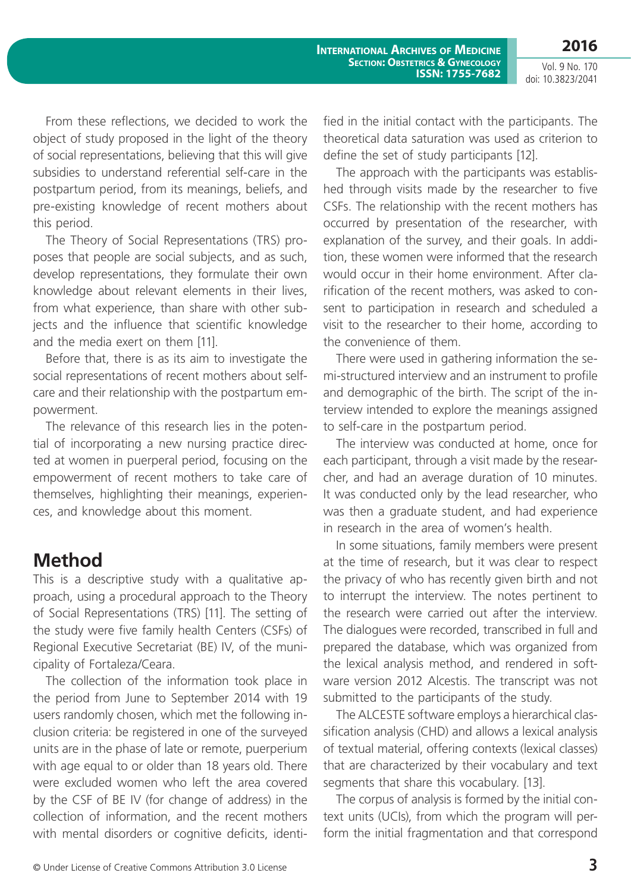From these reflections, we decided to work the object of study proposed in the light of the theory of social representations, believing that this will give subsidies to understand referential self-care in the postpartum period, from its meanings, beliefs, and pre-existing knowledge of recent mothers about this period.

The Theory of Social Representations (TRS) proposes that people are social subjects, and as such, develop representations, they formulate their own knowledge about relevant elements in their lives, from what experience, than share with other subjects and the influence that scientific knowledge and the media exert on them [11].

Before that, there is as its aim to investigate the social representations of recent mothers about selfcare and their relationship with the postpartum empowerment.

The relevance of this research lies in the potential of incorporating a new nursing practice directed at women in puerperal period, focusing on the empowerment of recent mothers to take care of themselves, highlighting their meanings, experiences, and knowledge about this moment.

### **Method**

This is a descriptive study with a qualitative approach, using a procedural approach to the Theory of Social Representations (TRS) [11]. The setting of the study were five family health Centers (CSFs) of Regional Executive Secretariat (BE) IV, of the municipality of Fortaleza/Ceara.

The collection of the information took place in the period from June to September 2014 with 19 users randomly chosen, which met the following inclusion criteria: be registered in one of the surveyed units are in the phase of late or remote, puerperium with age equal to or older than 18 years old. There were excluded women who left the area covered by the CSF of BE IV (for change of address) in the collection of information, and the recent mothers with mental disorders or cognitive deficits, identified in the initial contact with the participants. The theoretical data saturation was used as criterion to define the set of study participants [12].

The approach with the participants was established through visits made by the researcher to five CSFs. The relationship with the recent mothers has occurred by presentation of the researcher, with explanation of the survey, and their goals. In addition, these women were informed that the research would occur in their home environment. After clarification of the recent mothers, was asked to consent to participation in research and scheduled a visit to the researcher to their home, according to the convenience of them.

There were used in gathering information the semi-structured interview and an instrument to profile and demographic of the birth. The script of the interview intended to explore the meanings assigned to self-care in the postpartum period.

The interview was conducted at home, once for each participant, through a visit made by the researcher, and had an average duration of 10 minutes. It was conducted only by the lead researcher, who was then a graduate student, and had experience in research in the area of women's health.

In some situations, family members were present at the time of research, but it was clear to respect the privacy of who has recently given birth and not to interrupt the interview. The notes pertinent to the research were carried out after the interview. The dialogues were recorded, transcribed in full and prepared the database, which was organized from the lexical analysis method, and rendered in software version 2012 Alcestis. The transcript was not submitted to the participants of the study.

The ALCESTE software employs a hierarchical classification analysis (CHD) and allows a lexical analysis of textual material, offering contexts (lexical classes) that are characterized by their vocabulary and text segments that share this vocabulary. [13].

The corpus of analysis is formed by the initial context units (UCIs), from which the program will perform the initial fragmentation and that correspond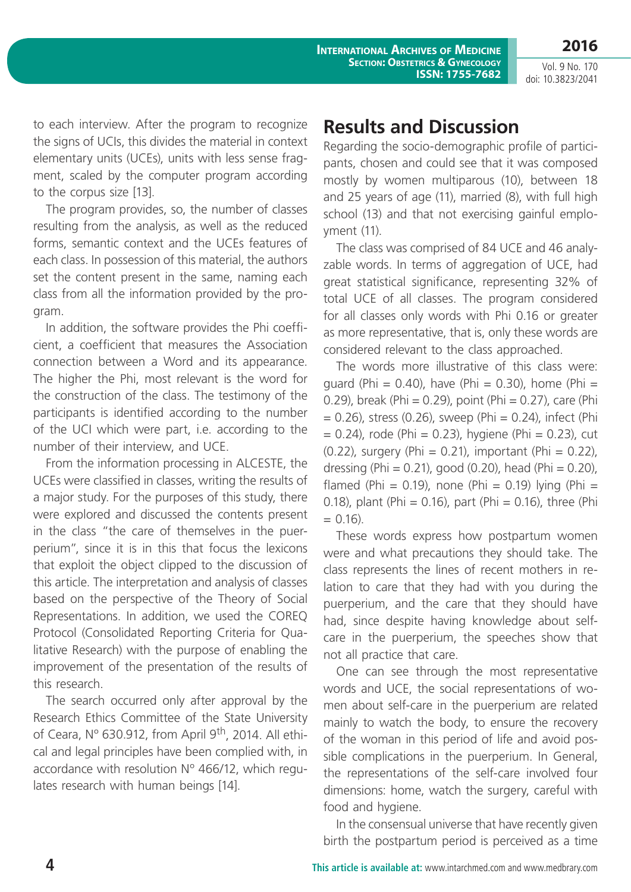**2016**

to each interview. After the program to recognize the signs of UCIs, this divides the material in context elementary units (UCEs), units with less sense fragment, scaled by the computer program according to the corpus size [13].

The program provides, so, the number of classes resulting from the analysis, as well as the reduced forms, semantic context and the UCEs features of each class. In possession of this material, the authors set the content present in the same, naming each class from all the information provided by the program.

In addition, the software provides the Phi coefficient, a coefficient that measures the Association connection between a Word and its appearance. The higher the Phi, most relevant is the word for the construction of the class. The testimony of the participants is identified according to the number of the UCI which were part, i.e. according to the number of their interview, and UCE.

From the information processing in ALCESTE, the UCEs were classified in classes, writing the results of a major study. For the purposes of this study, there were explored and discussed the contents present in the class "the care of themselves in the puerperium", since it is in this that focus the lexicons that exploit the object clipped to the discussion of this article. The interpretation and analysis of classes based on the perspective of the Theory of Social Representations. In addition, we used the COREQ Protocol (Consolidated Reporting Criteria for Qualitative Research) with the purpose of enabling the improvement of the presentation of the results of this research.

The search occurred only after approval by the Research Ethics Committee of the State University of Ceara, Nº 630.912, from April 9<sup>th</sup>, 2014. All ethical and legal principles have been complied with, in accordance with resolution Nº 466/12, which regulates research with human beings [14].

# **Results and Discussion**

Regarding the socio-demographic profile of participants, chosen and could see that it was composed mostly by women multiparous (10), between 18 and 25 years of age (11), married (8), with full high school (13) and that not exercising gainful employment (11).

The class was comprised of 84 UCE and 46 analyzable words. In terms of aggregation of UCE, had great statistical significance, representing 32% of total UCE of all classes. The program considered for all classes only words with Phi 0.16 or greater as more representative, that is, only these words are considered relevant to the class approached.

The words more illustrative of this class were: guard (Phi =  $0.40$ ), have (Phi =  $0.30$ ), home (Phi = 0.29), break (Phi =  $0.29$ ), point (Phi =  $0.27$ ), care (Phi  $= 0.26$ ), stress (0.26), sweep (Phi  $= 0.24$ ), infect (Phi  $= 0.24$ ), rode (Phi  $= 0.23$ ), hygiene (Phi  $= 0.23$ ), cut  $(0.22)$ , surgery (Phi = 0.21), important (Phi = 0.22), dressing (Phi =  $0.21$ ), good (0.20), head (Phi =  $0.20$ ), flamed (Phi = 0.19), none (Phi = 0.19) lying (Phi = 0.18), plant (Phi = 0.16), part (Phi = 0.16), three (Phi  $= 0.16$ ).

These words express how postpartum women were and what precautions they should take. The class represents the lines of recent mothers in relation to care that they had with you during the puerperium, and the care that they should have had, since despite having knowledge about selfcare in the puerperium, the speeches show that not all practice that care.

One can see through the most representative words and UCE, the social representations of women about self-care in the puerperium are related mainly to watch the body, to ensure the recovery of the woman in this period of life and avoid possible complications in the puerperium. In General, the representations of the self-care involved four dimensions: home, watch the surgery, careful with food and hygiene.

In the consensual universe that have recently given birth the postpartum period is perceived as a time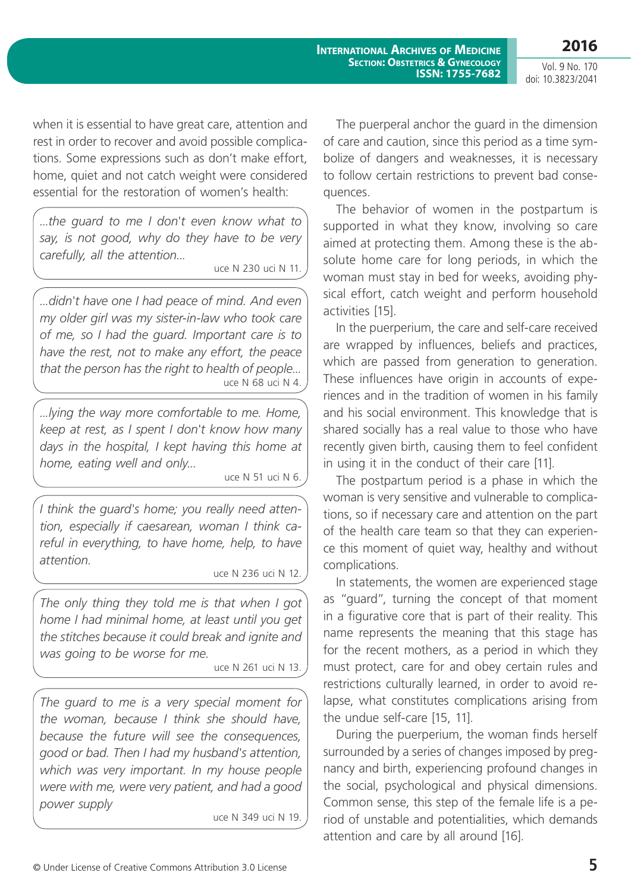Vol. 9 No. 170 doi: 10.3823/2041

when it is essential to have great care, attention and rest in order to recover and avoid possible complications. Some expressions such as don't make effort, home, quiet and not catch weight were considered essential for the restoration of women's health:

*...the guard to me I don't even know what to say, is not good, why do they have to be very carefully, all the attention...*

uce N 230 uci N 11.

*...didn't have one I had peace of mind. And even my older girl was my sister-in-law who took care of me, so I had the guard. Important care is to have the rest, not to make any effort, the peace that the person has the right to health of people...* uce N 68 uci N 4.

*...lying the way more comfortable to me. Home, keep at rest, as I spent I don't know how many days in the hospital, I kept having this home at home, eating well and only...*

uce N 51 uci N 6.

*I think the guard's home; you really need attention, especially if caesarean, woman I think careful in everything, to have home, help, to have attention.*

uce N 236 uci N 12.

*The only thing they told me is that when I got home I had minimal home, at least until you get the stitches because it could break and ignite and was going to be worse for me.*

uce N 261 uci N 13.

*The guard to me is a very special moment for the woman, because I think she should have, because the future will see the consequences, good or bad. Then I had my husband's attention, which was very important. In my house people were with me, were very patient, and had a good power supply* 

uce N 349 uci N 19.

The puerperal anchor the guard in the dimension of care and caution, since this period as a time symbolize of dangers and weaknesses, it is necessary to follow certain restrictions to prevent bad consequences.

The behavior of women in the postpartum is supported in what they know, involving so care aimed at protecting them. Among these is the absolute home care for long periods, in which the woman must stay in bed for weeks, avoiding physical effort, catch weight and perform household activities [15].

In the puerperium, the care and self-care received are wrapped by influences, beliefs and practices, which are passed from generation to generation. These influences have origin in accounts of experiences and in the tradition of women in his family and his social environment. This knowledge that is shared socially has a real value to those who have recently given birth, causing them to feel confident in using it in the conduct of their care [11].

The postpartum period is a phase in which the woman is very sensitive and vulnerable to complications, so if necessary care and attention on the part of the health care team so that they can experience this moment of quiet way, healthy and without complications.

In statements, the women are experienced stage as "guard", turning the concept of that moment in a figurative core that is part of their reality. This name represents the meaning that this stage has for the recent mothers, as a period in which they must protect, care for and obey certain rules and restrictions culturally learned, in order to avoid relapse, what constitutes complications arising from the undue self-care [15, 11].

During the puerperium, the woman finds herself surrounded by a series of changes imposed by pregnancy and birth, experiencing profound changes in the social, psychological and physical dimensions. Common sense, this step of the female life is a period of unstable and potentialities, which demands attention and care by all around [16].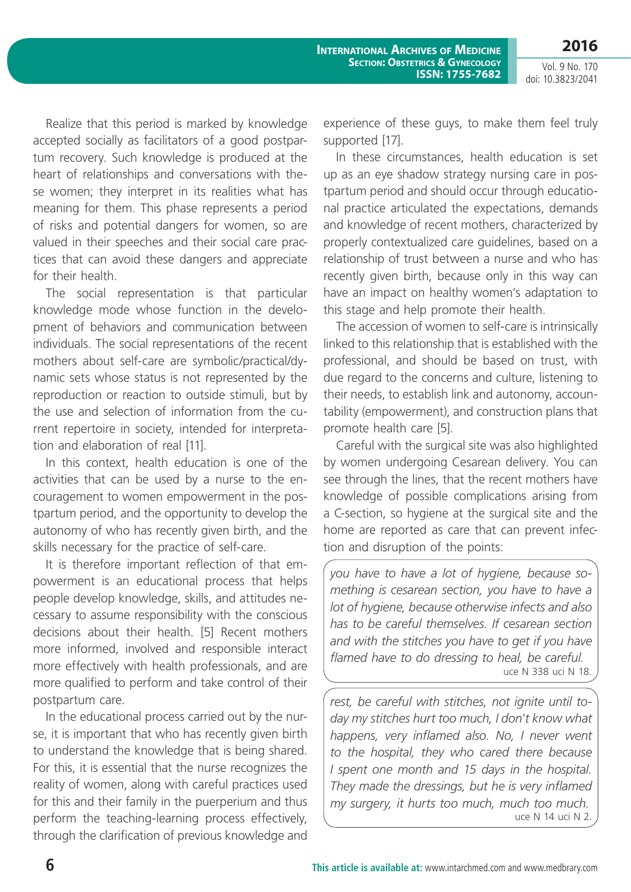Vol. 9 No. 170 doi: 10.3823/2041

Realize that this period is marked by knowledge accepted socially as facilitators of a good postpartum recovery. Such knowledge is produced at the heart of relationships and conversations with these women; they interpret in its realities what has meaning for them. This phase represents a period of risks and potential dangers for women, so are valued in their speeches and their social care practices that can avoid these dangers and appreciate for their health.

The social representation is that particular knowledge mode whose function in the development of behaviors and communication between individuals. The social representations of the recent mothers about self-care are symbolic/practical/dynamic sets whose status is not represented by the reproduction or reaction to outside stimuli, but by the use and selection of information from the current repertoire in society, intended for interpretation and elaboration of real [11].

In this context, health education is one of the activities that can be used by a nurse to the encouragement to women empowerment in the postpartum period, and the opportunity to develop the autonomy of who has recently given birth, and the skills necessary for the practice of self-care.

It is therefore important reflection of that empowerment is an educational process that helps people develop knowledge, skills, and attitudes necessary to assume responsibility with the conscious decisions about their health. [5] Recent mothers more informed, involved and responsible interact more effectively with health professionals, and are more qualified to perform and take control of their postpartum care.

In the educational process carried out by the nurse, it is important that who has recently given birth to understand the knowledge that is being shared. For this, it is essential that the nurse recognizes the reality of women, along with careful practices used for this and their family in the puerperium and thus perform the teaching-learning process effectively, through the clarification of previous knowledge and experience of these guys, to make them feel truly supported [17].

In these circumstances, health education is set up as an eye shadow strategy nursing care in postpartum period and should occur through educational practice articulated the expectations, demands and knowledge of recent mothers, characterized by properly contextualized care guidelines, based on a relationship of trust between a nurse and who has recently given birth, because only in this way can have an impact on healthy women's adaptation to this stage and help promote their health.

The accession of women to self-care is intrinsically linked to this relationship that is established with the professional, and should be based on trust, with due regard to the concerns and culture, listening to their needs, to establish link and autonomy, accountability (empowerment), and construction plans that promote health care [5].

Careful with the surgical site was also highlighted by women undergoing Cesarean delivery. You can see through the lines, that the recent mothers have knowledge of possible complications arising from a C-section, so hygiene at the surgical site and the home are reported as care that can prevent infection and disruption of the points:

*you have to have a lot of hygiene, because something is cesarean section, you have to have a lot of hygiene, because otherwise infects and also has to be careful themselves. If cesarean section and with the stitches you have to get if you have flamed have to do dressing to heal, be careful.* uce N 338 uci N 18.

*rest, be careful with stitches, not ignite until today my stitches hurt too much, I don't know what happens, very inflamed also. No, I never went to the hospital, they who cared there because I spent one month and 15 days in the hospital. They made the dressings, but he is very inflamed my surgery, it hurts too much, much too much.* uce N 14 uci N 2.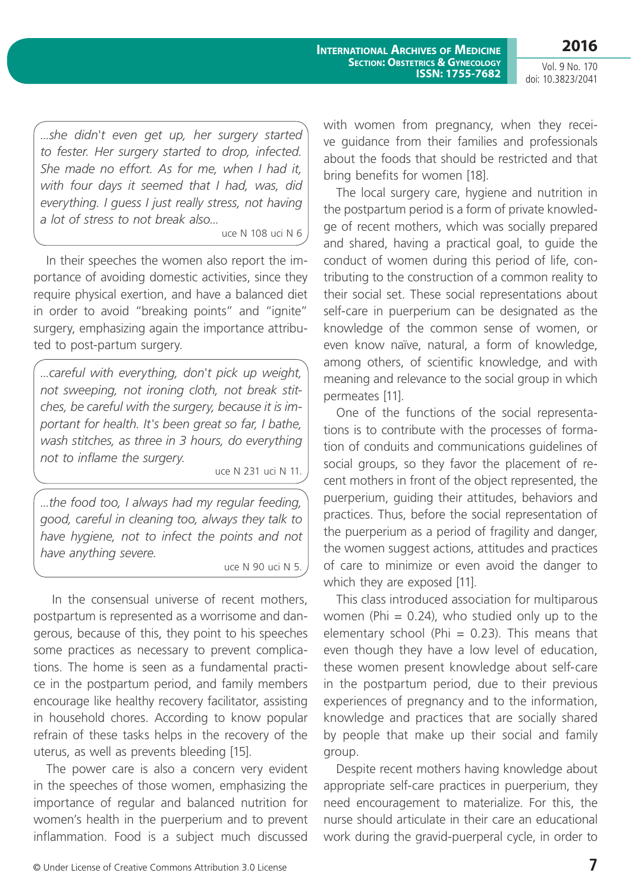*...she didn't even get up, her surgery started to fester. Her surgery started to drop, infected. She made no effort. As for me, when I had it, with four days it seemed that I had, was, did everything. I guess I just really stress, not having a lot of stress to not break also...*

uce N 108 uci N 6

In their speeches the women also report the importance of avoiding domestic activities, since they require physical exertion, and have a balanced diet in order to avoid "breaking points" and "ignite" surgery, emphasizing again the importance attributed to post-partum surgery.

*...careful with everything, don't pick up weight, not sweeping, not ironing cloth, not break stitches, be careful with the surgery, because it is important for health. It's been great so far, I bathe, wash stitches, as three in 3 hours, do everything not to inflame the surgery.*

uce N 231 uci N 11.

*...the food too, I always had my regular feeding, good, careful in cleaning too, always they talk to have hygiene, not to infect the points and not have anything severe.*

uce N 90 uci N 5.

 In the consensual universe of recent mothers, postpartum is represented as a worrisome and dangerous, because of this, they point to his speeches some practices as necessary to prevent complications. The home is seen as a fundamental practice in the postpartum period, and family members encourage like healthy recovery facilitator, assisting in household chores. According to know popular refrain of these tasks helps in the recovery of the uterus, as well as prevents bleeding [15].

The power care is also a concern very evident in the speeches of those women, emphasizing the importance of regular and balanced nutrition for women's health in the puerperium and to prevent inflammation. Food is a subject much discussed

with women from pregnancy, when they receive guidance from their families and professionals about the foods that should be restricted and that bring benefits for women [18].

The local surgery care, hygiene and nutrition in the postpartum period is a form of private knowledge of recent mothers, which was socially prepared and shared, having a practical goal, to guide the conduct of women during this period of life, contributing to the construction of a common reality to their social set. These social representations about self-care in puerperium can be designated as the knowledge of the common sense of women, or even know naïve, natural, a form of knowledge, among others, of scientific knowledge, and with meaning and relevance to the social group in which permeates [11].

One of the functions of the social representations is to contribute with the processes of formation of conduits and communications guidelines of social groups, so they favor the placement of recent mothers in front of the object represented, the puerperium, guiding their attitudes, behaviors and practices. Thus, before the social representation of the puerperium as a period of fragility and danger, the women suggest actions, attitudes and practices of care to minimize or even avoid the danger to which they are exposed [11].

This class introduced association for multiparous women (Phi  $= 0.24$ ), who studied only up to the elementary school (Phi =  $0.23$ ). This means that even though they have a low level of education, these women present knowledge about self-care in the postpartum period, due to their previous experiences of pregnancy and to the information, knowledge and practices that are socially shared by people that make up their social and family group.

Despite recent mothers having knowledge about appropriate self-care practices in puerperium, they need encouragement to materialize. For this, the nurse should articulate in their care an educational work during the gravid-puerperal cycle, in order to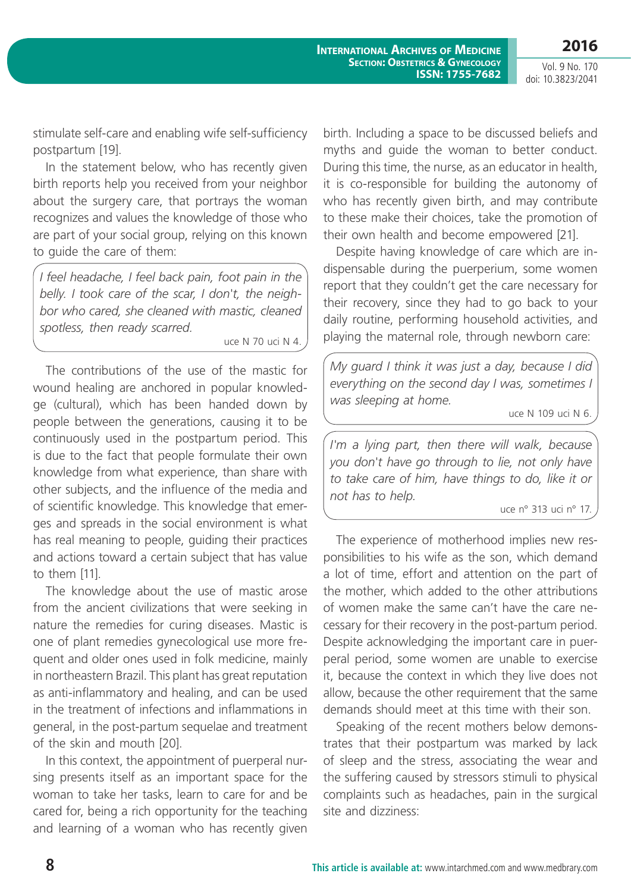stimulate self-care and enabling wife self-sufficiency postpartum [19].

In the statement below, who has recently given birth reports help you received from your neighbor about the surgery care, that portrays the woman recognizes and values the knowledge of those who are part of your social group, relying on this known to guide the care of them:

*I feel headache, I feel back pain, foot pain in the belly. I took care of the scar, I don't, the neighbor who cared, she cleaned with mastic, cleaned spotless, then ready scarred.*

uce N 70 uci N 4.

The contributions of the use of the mastic for wound healing are anchored in popular knowledge (cultural), which has been handed down by people between the generations, causing it to be continuously used in the postpartum period. This is due to the fact that people formulate their own knowledge from what experience, than share with other subjects, and the influence of the media and of scientific knowledge. This knowledge that emerges and spreads in the social environment is what has real meaning to people, guiding their practices and actions toward a certain subject that has value to them [11].

The knowledge about the use of mastic arose from the ancient civilizations that were seeking in nature the remedies for curing diseases. Mastic is one of plant remedies gynecological use more frequent and older ones used in folk medicine, mainly in northeastern Brazil. This plant has great reputation as anti-inflammatory and healing, and can be used in the treatment of infections and inflammations in general, in the post-partum sequelae and treatment of the skin and mouth [20].

In this context, the appointment of puerperal nursing presents itself as an important space for the woman to take her tasks, learn to care for and be cared for, being a rich opportunity for the teaching and learning of a woman who has recently given birth. Including a space to be discussed beliefs and myths and guide the woman to better conduct. During this time, the nurse, as an educator in health, it is co-responsible for building the autonomy of who has recently given birth, and may contribute to these make their choices, take the promotion of their own health and become empowered [21].

Despite having knowledge of care which are indispensable during the puerperium, some women report that they couldn't get the care necessary for their recovery, since they had to go back to your daily routine, performing household activities, and playing the maternal role, through newborn care:

*My guard I think it was just a day, because I did everything on the second day I was, sometimes I was sleeping at home.*

uce N 109 uci N 6.

*I'm a lying part, then there will walk, because you don't have go through to lie, not only have to take care of him, have things to do, like it or not has to help.*

uce n° 313 uci n° 17.

The experience of motherhood implies new responsibilities to his wife as the son, which demand a lot of time, effort and attention on the part of the mother, which added to the other attributions of women make the same can't have the care necessary for their recovery in the post-partum period. Despite acknowledging the important care in puerperal period, some women are unable to exercise it, because the context in which they live does not allow, because the other requirement that the same demands should meet at this time with their son.

Speaking of the recent mothers below demonstrates that their postpartum was marked by lack of sleep and the stress, associating the wear and the suffering caused by stressors stimuli to physical complaints such as headaches, pain in the surgical site and dizziness: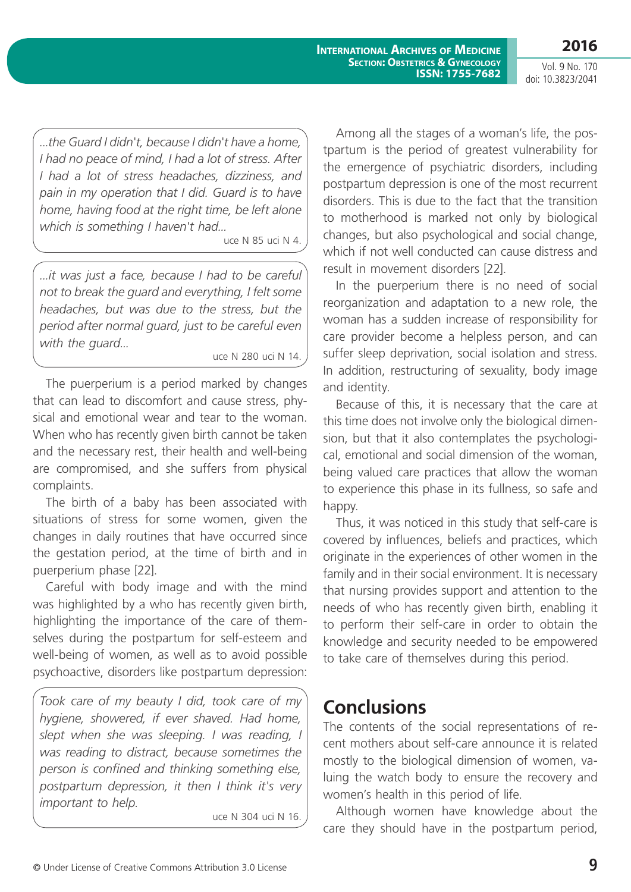Vol. 9 No. 170 doi: 10.3823/2041

*...the Guard I didn't, because I didn't have a home, I had no peace of mind, I had a lot of stress. After I had a lot of stress headaches, dizziness, and pain in my operation that I did. Guard is to have home, having food at the right time, be left alone which is something I haven't had...*

uce N 85 uci N 4.

*...it was just a face, because I had to be careful not to break the guard and everything, I felt some headaches, but was due to the stress, but the period after normal guard, just to be careful even with the guard...*

uce N 280 uci N 14.

The puerperium is a period marked by changes that can lead to discomfort and cause stress, physical and emotional wear and tear to the woman. When who has recently given birth cannot be taken and the necessary rest, their health and well-being are compromised, and she suffers from physical complaints.

The birth of a baby has been associated with situations of stress for some women, given the changes in daily routines that have occurred since the gestation period, at the time of birth and in puerperium phase [22].

Careful with body image and with the mind was highlighted by a who has recently given birth, highlighting the importance of the care of themselves during the postpartum for self-esteem and well-being of women, as well as to avoid possible psychoactive, disorders like postpartum depression:

*Took care of my beauty I did, took care of my hygiene, showered, if ever shaved. Had home, slept when she was sleeping. I was reading, I was reading to distract, because sometimes the person is confined and thinking something else, postpartum depression, it then I think it's very important to help.*

uce N 304 uci N 16.

Among all the stages of a woman's life, the postpartum is the period of greatest vulnerability for the emergence of psychiatric disorders, including postpartum depression is one of the most recurrent disorders. This is due to the fact that the transition to motherhood is marked not only by biological changes, but also psychological and social change, which if not well conducted can cause distress and result in movement disorders [22].

In the puerperium there is no need of social reorganization and adaptation to a new role, the woman has a sudden increase of responsibility for care provider become a helpless person, and can suffer sleep deprivation, social isolation and stress. In addition, restructuring of sexuality, body image and identity.

Because of this, it is necessary that the care at this time does not involve only the biological dimension, but that it also contemplates the psychological, emotional and social dimension of the woman, being valued care practices that allow the woman to experience this phase in its fullness, so safe and happy.

Thus, it was noticed in this study that self-care is covered by influences, beliefs and practices, which originate in the experiences of other women in the family and in their social environment. It is necessary that nursing provides support and attention to the needs of who has recently given birth, enabling it to perform their self-care in order to obtain the knowledge and security needed to be empowered to take care of themselves during this period.

### **Conclusions**

The contents of the social representations of recent mothers about self-care announce it is related mostly to the biological dimension of women, valuing the watch body to ensure the recovery and women's health in this period of life.

Although women have knowledge about the care they should have in the postpartum period,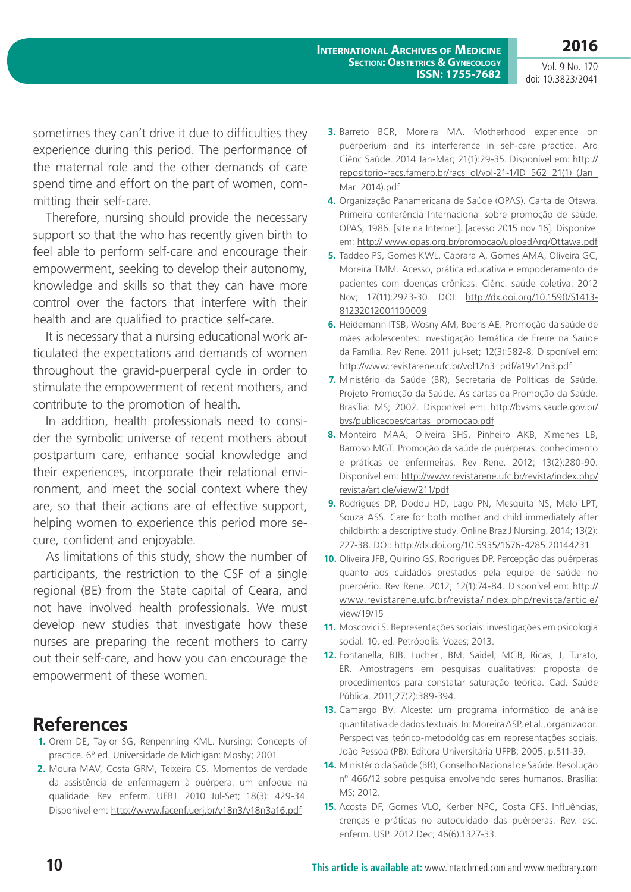sometimes they can't drive it due to difficulties they experience during this period. The performance of the maternal role and the other demands of care spend time and effort on the part of women, committing their self-care.

Therefore, nursing should provide the necessary support so that the who has recently given birth to feel able to perform self-care and encourage their empowerment, seeking to develop their autonomy, knowledge and skills so that they can have more control over the factors that interfere with their health and are qualified to practice self-care.

It is necessary that a nursing educational work articulated the expectations and demands of women throughout the gravid-puerperal cycle in order to stimulate the empowerment of recent mothers, and contribute to the promotion of health.

In addition, health professionals need to consider the symbolic universe of recent mothers about postpartum care, enhance social knowledge and their experiences, incorporate their relational environment, and meet the social context where they are, so that their actions are of effective support, helping women to experience this period more secure, confident and enjoyable.

As limitations of this study, show the number of participants, the restriction to the CSF of a single regional (BE) from the State capital of Ceara, and not have involved health professionals. We must develop new studies that investigate how these nurses are preparing the recent mothers to carry out their self-care, and how you can encourage the empowerment of these women.

### **References**

- **1.** Orem DE, Taylor SG, Renpenning KML. Nursing: Concepts of practice. 6º ed. Universidade de Michigan: Mosby; 2001.
- **2.** Moura MAV, Costa GRM, Teixeira CS. Momentos de verdade da assistência de enfermagem à puérpera: um enfoque na qualidade. Rev. enferm. UERJ. 2010 Jul-Set; 18(3): 429-34. Disponível em: <http://www.facenf.uerj.br/v18n3/v18n3a16.pdf>
- **3.** Barreto BCR, Moreira MA. Motherhood experience on puerperium and its interference in self-care practice. Arq Ciênc Saúde. 2014 Jan-Mar; 21(1):29-35. Disponível em: [http://](http://repositorio-racs.famerp.br/racs_ol/vol-21-1/ID_562_21(1)_(Jan_Mar_2014).pdf) [repositorio-racs.famerp.br/racs\\_ol/vol-21-1/ID\\_562\\_21\(1\)\\_\(Jan\\_](http://repositorio-racs.famerp.br/racs_ol/vol-21-1/ID_562_21(1)_(Jan_Mar_2014).pdf) [Mar\\_2014\).pdf](http://repositorio-racs.famerp.br/racs_ol/vol-21-1/ID_562_21(1)_(Jan_Mar_2014).pdf)
- **4.** Organização Panamericana de Saúde (OPAS). Carta de Otawa. Primeira conferência Internacional sobre promoção de saúde. OPAS; 1986. [site na Internet]. [acesso 2015 nov 16]. Disponível em:<http:// www.opas.org.br/promocao/uploadArq/Ottawa.pdf>
- **5.** Taddeo PS, Gomes KWL, Caprara A, Gomes AMA, Oliveira GC, Moreira TMM. Acesso, prática educativa e empoderamento de pacientes com doenças crônicas. Ciênc. saúde coletiva. 2012 Nov; 17(11):2923-30. DOI: [http://dx.doi.org/10.1590/S1413-](http://dx.doi.org/10.1590/S1413-81232012001100009) [81232012001100009](http://dx.doi.org/10.1590/S1413-81232012001100009)
- **6.** Heidemann ITSB, Wosny AM, Boehs AE. Promoção da saúde de mães adolescentes: investigação temática de Freire na Saúde da Família. Rev Rene. 2011 jul-set; 12(3):582-8. Disponível em: [http://www.revistarene.ufc.br/vol12n3\\_pdf/a19v12n3.pdf](http://www.revistarene.ufc.br/vol12n3_pdf/a19v12n3.pdf)
- **7.** Ministério da Saúde (BR), Secretaria de Políticas de Saúde. Projeto Promoção da Saúde. As cartas da Promoção da Saúde. Brasília: MS; 2002. Disponível em: [http://bvsms.saude.gov.br/](http://bvsms.saude.gov.br/bvs/publicacoes/cartas_promocao.pdf) [bvs/publicacoes/cartas\\_promocao.pdf](http://bvsms.saude.gov.br/bvs/publicacoes/cartas_promocao.pdf)
- **8.** Monteiro MAA, Oliveira SHS, Pinheiro AKB, Ximenes LB, Barroso MGT. Promoção da saúde de puérperas: conhecimento e práticas de enfermeiras. Rev Rene. 2012; 13(2):280-90. Disponível em: [http://www.revistarene.ufc.br/revista/index.php/](http://www.revistarene.ufc.br/revista/index.php/revista/article/view/211/pdf) [revista/article/view/211/pdf](http://www.revistarene.ufc.br/revista/index.php/revista/article/view/211/pdf)
- **9.** Rodrigues DP, Dodou HD, Lago PN, Mesquita NS, Melo LPT, Souza ASS. Care for both mother and child immediately after childbirth: a descriptive study. Online Braz J Nursing. 2014; 13(2): 227-38. DOI:<http://dx.doi.org/10.5935/1676-4285.20144231>
- **10.** Oliveira JFB, Quirino GS, Rodrigues DP. Percepção das puérperas quanto aos cuidados prestados pela equipe de saúde no puerpério. Rev Rene. 2012; 12(1):74-84. Disponível em: [http://](http://www.revistarene.ufc.br/revista/index.php/revista/article/view/19/15) [www.revistarene.ufc.br/revista/index.php/revista/article/](http://www.revistarene.ufc.br/revista/index.php/revista/article/view/19/15) [view/19/15](http://www.revistarene.ufc.br/revista/index.php/revista/article/view/19/15)
- **11.** Moscovici S. Representações sociais: investigações em psicologia social. 10. ed. Petrópolis: Vozes; 2013.
- **12.** Fontanella, BJB, Lucheri, BM, Saidel, MGB, Ricas, J, Turato, ER. Amostragens em pesquisas qualitativas: proposta de procedimentos para constatar saturação teórica. Cad. Saúde Pública. 2011;27(2):389-394.
- **13.** Camargo BV. Alceste: um programa informático de análise quantitativa de dados textuais. In: Moreira ASP, et al., organizador. Perspectivas teórico-metodológicas em representações sociais. João Pessoa (PB): Editora Universitária UFPB; 2005. p.511-39.
- **14.** Ministério da Saúde (BR), Conselho Nacional de Saúde. Resolução nº 466/12 sobre pesquisa envolvendo seres humanos. Brasília: MS; 2012.
- **15.** Acosta DF, Gomes VLO, Kerber NPC, Costa CFS. Influências, crenças e práticas no autocuidado das puérperas. Rev. esc. enferm. USP. 2012 Dec; 46(6):1327-33.